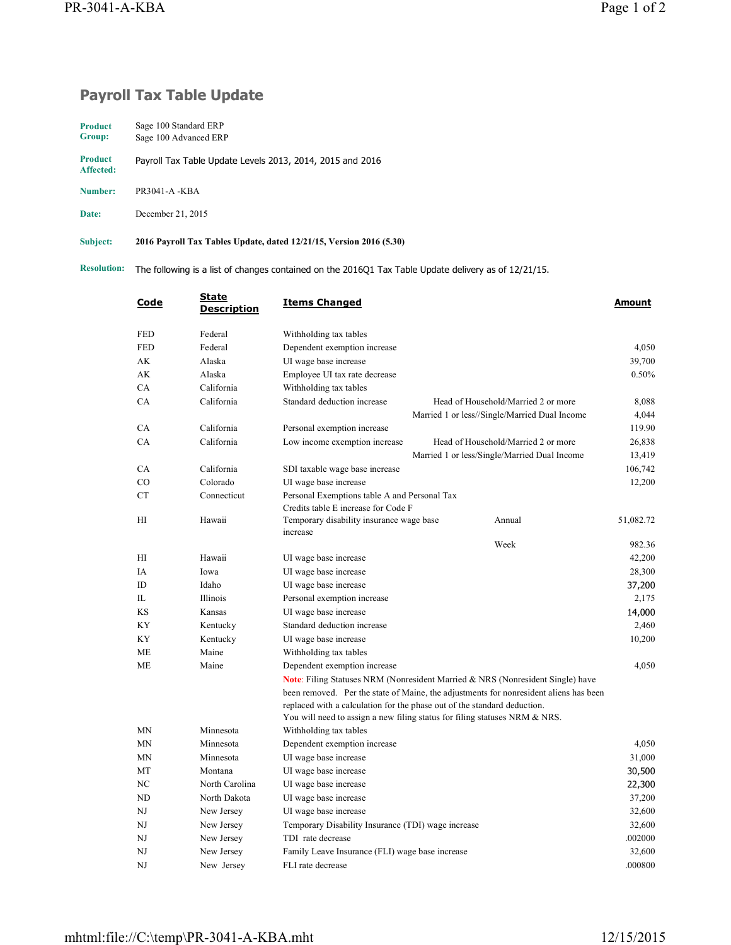## **Payroll Tax Table Update**

| <b>Product</b>              | Sage 100 Standard ERP                                     |
|-----------------------------|-----------------------------------------------------------|
| Group:                      | Sage 100 Advanced ERP                                     |
| <b>Product</b><br>Affected: | Payroll Tax Table Update Levels 2013, 2014, 2015 and 2016 |

**Number:** PR3041-A -KBA

**Date:** December 21, 2015

**Subject: 2016 Payroll Tax Tables Update, dated 12/21/15, Version 2016 (5.30)**

**Resolution:** The following is a list of changes contained on the 2016Q1 Tax Table Update delivery as of 12/21/15.

| Code           | <b>State</b><br><b>Description</b> | <b>Items Changed</b>                                                                                                                                   |                                                                                       | Amount    |
|----------------|------------------------------------|--------------------------------------------------------------------------------------------------------------------------------------------------------|---------------------------------------------------------------------------------------|-----------|
| <b>FED</b>     | Federal                            | Withholding tax tables                                                                                                                                 |                                                                                       |           |
| <b>FED</b>     | Federal                            | Dependent exemption increase                                                                                                                           |                                                                                       | 4,050     |
| AK             | Alaska                             | UI wage base increase                                                                                                                                  |                                                                                       | 39,700    |
| АK             | Alaska                             | Employee UI tax rate decrease                                                                                                                          |                                                                                       | 0.50%     |
| CA             | California                         | Withholding tax tables                                                                                                                                 |                                                                                       |           |
| CA             | California                         | Standard deduction increase                                                                                                                            | Head of Household/Married 2 or more                                                   | 8,088     |
|                |                                    |                                                                                                                                                        | Married 1 or less//Single/Married Dual Income                                         | 4,044     |
| CA             | California                         | Personal exemption increase                                                                                                                            |                                                                                       | 119.90    |
| CA             | California                         | Low income exemption increase                                                                                                                          | Head of Household/Married 2 or more                                                   | 26,838    |
|                |                                    |                                                                                                                                                        | Married 1 or less/Single/Married Dual Income                                          | 13,419    |
| CA             | California                         | SDI taxable wage base increase                                                                                                                         |                                                                                       | 106,742   |
| CO             | Colorado                           | UI wage base increase                                                                                                                                  |                                                                                       | 12,200    |
| <b>CT</b>      | Connecticut                        | Personal Exemptions table A and Personal Tax                                                                                                           |                                                                                       |           |
|                |                                    | Credits table E increase for Code F                                                                                                                    |                                                                                       |           |
| H <sub>I</sub> | Hawaii                             | Temporary disability insurance wage base<br>increase                                                                                                   | Annual                                                                                | 51,082.72 |
|                |                                    |                                                                                                                                                        | Week                                                                                  | 982.36    |
| HI             | Hawaii                             | UI wage base increase                                                                                                                                  |                                                                                       | 42,200    |
| IA             | Iowa                               | UI wage base increase                                                                                                                                  |                                                                                       | 28,300    |
| ID             | Idaho                              | UI wage base increase                                                                                                                                  |                                                                                       | 37,200    |
| IL             | Illinois                           | Personal exemption increase                                                                                                                            |                                                                                       | 2,175     |
| KS             | Kansas                             | UI wage base increase                                                                                                                                  |                                                                                       | 14,000    |
| KY             | Kentucky                           | Standard deduction increase                                                                                                                            |                                                                                       | 2,460     |
| KY             | Kentucky                           | UI wage base increase                                                                                                                                  |                                                                                       | 10,200    |
| <b>ME</b>      | Maine                              | Withholding tax tables                                                                                                                                 |                                                                                       |           |
| <b>ME</b>      | Maine                              | Dependent exemption increase                                                                                                                           |                                                                                       | 4,050     |
|                |                                    |                                                                                                                                                        | <b>Note:</b> Filing Statuses NRM (Nonresident Married & NRS (Nonresident Single) have |           |
|                |                                    |                                                                                                                                                        | been removed. Per the state of Maine, the adjustments for nonresident aliens has been |           |
|                |                                    | replaced with a calculation for the phase out of the standard deduction.<br>You will need to assign a new filing status for filing statuses NRM & NRS. |                                                                                       |           |
| <b>MN</b>      | Minnesota                          | Withholding tax tables                                                                                                                                 |                                                                                       |           |
| <b>MN</b>      | Minnesota                          | Dependent exemption increase                                                                                                                           |                                                                                       | 4,050     |
| <b>MN</b>      | Minnesota                          | UI wage base increase                                                                                                                                  |                                                                                       | 31,000    |
| MT             | Montana                            | UI wage base increase                                                                                                                                  |                                                                                       | 30,500    |
| NC             | North Carolina                     | UI wage base increase                                                                                                                                  |                                                                                       | 22,300    |
| ND             | North Dakota                       | UI wage base increase                                                                                                                                  |                                                                                       | 37,200    |
| NJ             | New Jersey                         | UI wage base increase                                                                                                                                  |                                                                                       | 32,600    |
| NJ             | New Jersey                         | Temporary Disability Insurance (TDI) wage increase                                                                                                     |                                                                                       | 32,600    |
| NJ             | New Jersey                         | TDI rate decrease                                                                                                                                      |                                                                                       | .002000   |
| NJ             | New Jersey                         | Family Leave Insurance (FLI) wage base increase                                                                                                        |                                                                                       | 32,600    |
| NJ             | New Jersey                         | FLI rate decrease                                                                                                                                      |                                                                                       | .000800   |